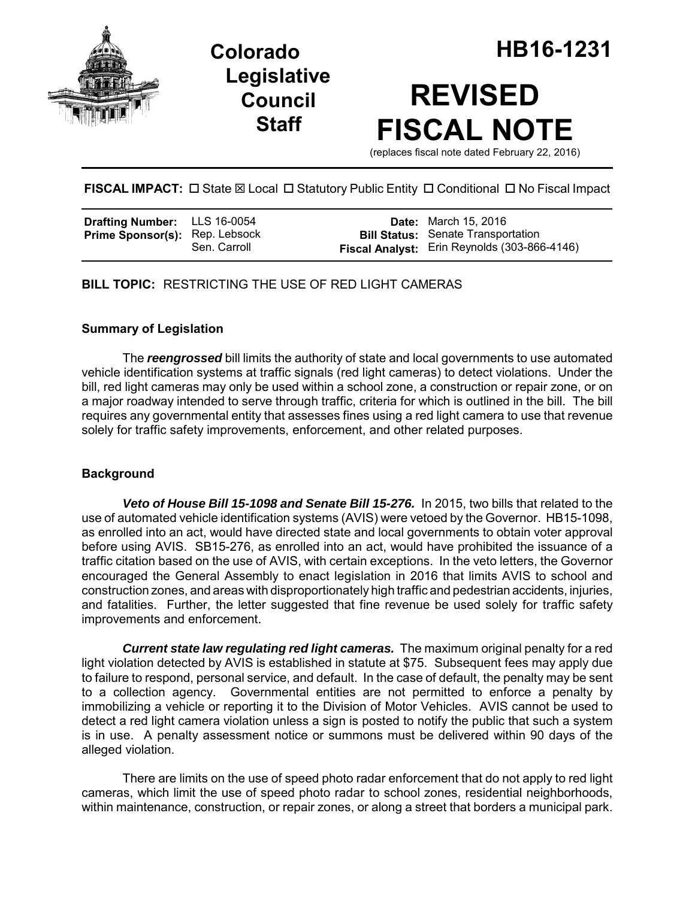

**Legislative Council Staff**

# **REVISED FISCAL NOTE**

(replaces fiscal note dated February 22, 2016)

# **FISCAL IMPACT:** □ State ⊠ Local □ Statutory Public Entity □ Conditional □ No Fiscal Impact

| <b>Drafting Number:</b> LLS 16-0054   |              | <b>Date:</b> March 15, 2016                                                                      |
|---------------------------------------|--------------|--------------------------------------------------------------------------------------------------|
| <b>Prime Sponsor(s): Rep. Lebsock</b> | Sen. Carroll | <b>Bill Status:</b> Senate Transportation<br><b>Fiscal Analyst:</b> Erin Reynolds (303-866-4146) |

# **BILL TOPIC:** RESTRICTING THE USE OF RED LIGHT CAMERAS

### **Summary of Legislation**

The *reengrossed* bill limits the authority of state and local governments to use automated vehicle identification systems at traffic signals (red light cameras) to detect violations. Under the bill, red light cameras may only be used within a school zone, a construction or repair zone, or on a major roadway intended to serve through traffic, criteria for which is outlined in the bill. The bill requires any governmental entity that assesses fines using a red light camera to use that revenue solely for traffic safety improvements, enforcement, and other related purposes.

#### **Background**

*Veto of House Bill 15-1098 and Senate Bill 15-276.* In 2015, two bills that related to the use of automated vehicle identification systems (AVIS) were vetoed by the Governor. HB15-1098, as enrolled into an act, would have directed state and local governments to obtain voter approval before using AVIS. SB15-276, as enrolled into an act, would have prohibited the issuance of a traffic citation based on the use of AVIS, with certain exceptions. In the veto letters, the Governor encouraged the General Assembly to enact legislation in 2016 that limits AVIS to school and construction zones, and areas with disproportionately high traffic and pedestrian accidents, injuries, and fatalities. Further, the letter suggested that fine revenue be used solely for traffic safety improvements and enforcement.

*Current state law regulating red light cameras.* The maximum original penalty for a red light violation detected by AVIS is established in statute at \$75. Subsequent fees may apply due to failure to respond, personal service, and default. In the case of default, the penalty may be sent to a collection agency. Governmental entities are not permitted to enforce a penalty by immobilizing a vehicle or reporting it to the Division of Motor Vehicles. AVIS cannot be used to detect a red light camera violation unless a sign is posted to notify the public that such a system is in use. A penalty assessment notice or summons must be delivered within 90 days of the alleged violation.

There are limits on the use of speed photo radar enforcement that do not apply to red light cameras, which limit the use of speed photo radar to school zones, residential neighborhoods, within maintenance, construction, or repair zones, or along a street that borders a municipal park.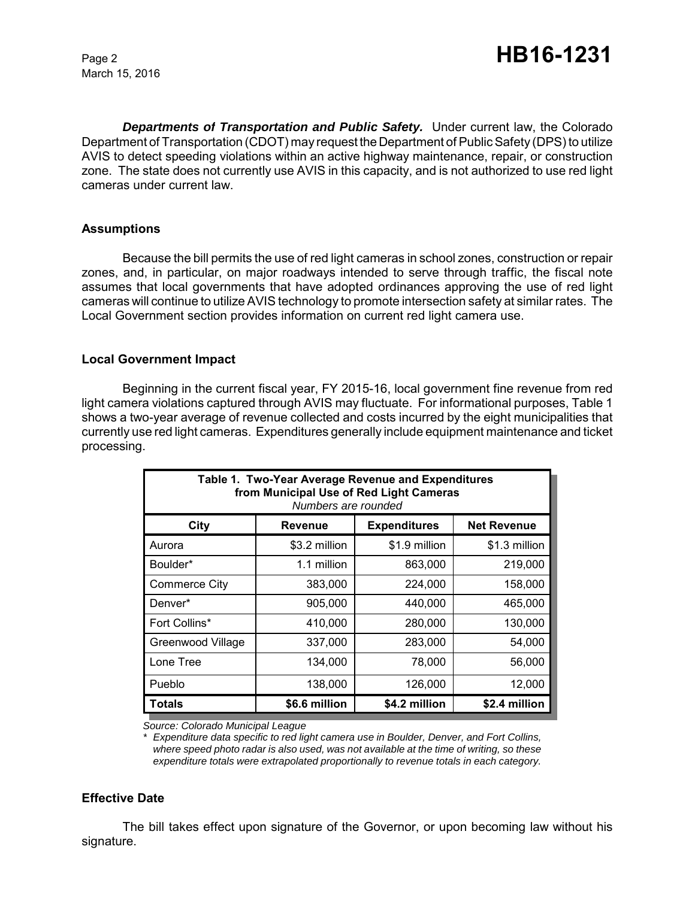March 15, 2016

*Departments of Transportation and Public Safety.* Under current law, the Colorado Department of Transportation (CDOT) may request the Department of Public Safety (DPS) to utilize AVIS to detect speeding violations within an active highway maintenance, repair, or construction zone. The state does not currently use AVIS in this capacity, and is not authorized to use red light cameras under current law.

#### **Assumptions**

Because the bill permits the use of red light cameras in school zones, construction or repair zones, and, in particular, on major roadways intended to serve through traffic, the fiscal note assumes that local governments that have adopted ordinances approving the use of red light cameras will continue to utilize AVIS technology to promote intersection safety at similar rates. The Local Government section provides information on current red light camera use.

#### **Local Government Impact**

Beginning in the current fiscal year, FY 2015-16, local government fine revenue from red light camera violations captured through AVIS may fluctuate. For informational purposes, Table 1 shows a two-year average of revenue collected and costs incurred by the eight municipalities that currently use red light cameras. Expenditures generally include equipment maintenance and ticket processing.

| Table 1. Two-Year Average Revenue and Expenditures<br>from Municipal Use of Red Light Cameras<br>Numbers are rounded |               |                     |                    |  |  |  |
|----------------------------------------------------------------------------------------------------------------------|---------------|---------------------|--------------------|--|--|--|
| City                                                                                                                 | Revenue       | <b>Expenditures</b> | <b>Net Revenue</b> |  |  |  |
| Aurora                                                                                                               | \$3.2 million | \$1.9 million       | \$1.3 million      |  |  |  |
| Boulder*                                                                                                             | 1.1 million   | 863,000             | 219,000            |  |  |  |
| <b>Commerce City</b>                                                                                                 | 383,000       | 224,000             | 158,000            |  |  |  |
| Denver*                                                                                                              | 905,000       | 440,000             | 465,000            |  |  |  |
| Fort Collins*                                                                                                        | 410,000       | 280,000             | 130,000            |  |  |  |
| Greenwood Village                                                                                                    | 337,000       | 283,000             | 54,000             |  |  |  |
| Lone Tree                                                                                                            | 134,000       | 78,000              | 56,000             |  |  |  |
| Pueblo                                                                                                               | 138,000       | 126,000             | 12,000             |  |  |  |
| <b>Totals</b>                                                                                                        | \$6.6 million | \$4.2 million       | \$2.4 million      |  |  |  |

*Source: Colorado Municipal League*

*\* Expenditure data specific to red light camera use in Boulder, Denver, and Fort Collins, where speed photo radar is also used, was not available at the time of writing, so these expenditure totals were extrapolated proportionally to revenue totals in each category.*

#### **Effective Date**

The bill takes effect upon signature of the Governor, or upon becoming law without his signature.